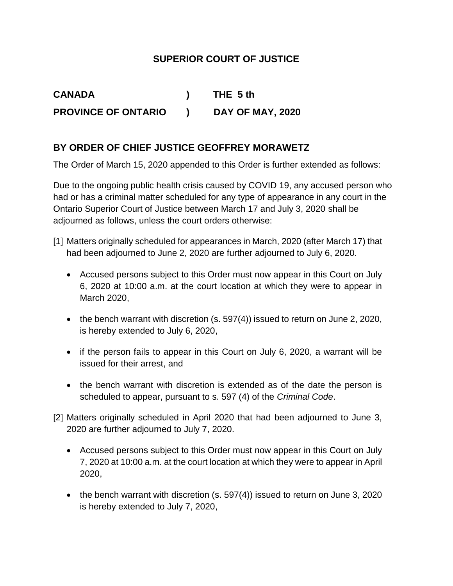## **SUPERIOR COURT OF JUSTICE**

**CANADA ) THE 5 th PROVINCE OF ONTARIO ) DAY OF MAY, 2020**

## **BY ORDER OF CHIEF JUSTICE GEOFFREY MORAWETZ**

The Order of March 15, 2020 appended to this Order is further extended as follows:

Due to the ongoing public health crisis caused by COVID 19, any accused person who had or has a criminal matter scheduled for any type of appearance in any court in the Ontario Superior Court of Justice between March 17 and July 3, 2020 shall be adjourned as follows, unless the court orders otherwise:

- [1] Matters originally scheduled for appearances in March, 2020 (after March 17) that had been adjourned to June 2, 2020 are further adjourned to July 6, 2020.
	- Accused persons subject to this Order must now appear in this Court on July 6, 2020 at 10:00 a.m. at the court location at which they were to appear in March 2020,
	- the bench warrant with discretion (s. 597(4)) issued to return on June 2, 2020, is hereby extended to July 6, 2020,
	- if the person fails to appear in this Court on July 6, 2020, a warrant will be issued for their arrest, and
	- the bench warrant with discretion is extended as of the date the person is scheduled to appear, pursuant to s. 597 (4) of the *Criminal Code*.
- [2] Matters originally scheduled in April 2020 that had been adjourned to June 3, 2020 are further adjourned to July 7, 2020.
	- Accused persons subject to this Order must now appear in this Court on July 7, 2020 at 10:00 a.m. at the court location at which they were to appear in April 2020,
	- the bench warrant with discretion (s. 597(4)) issued to return on June 3, 2020 is hereby extended to July 7, 2020,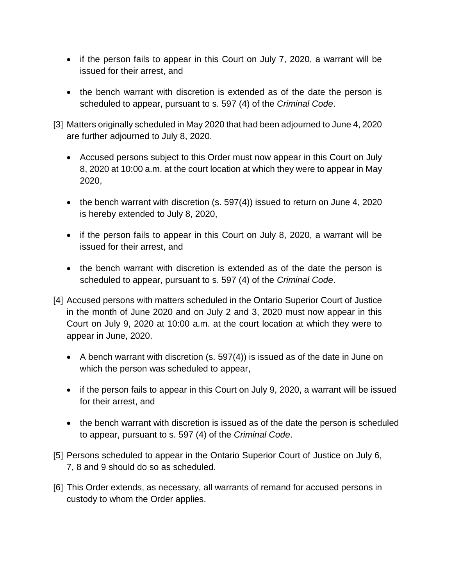- if the person fails to appear in this Court on July 7, 2020, a warrant will be issued for their arrest, and
- the bench warrant with discretion is extended as of the date the person is scheduled to appear, pursuant to s. 597 (4) of the *Criminal Code*.
- [3] Matters originally scheduled in May 2020 that had been adjourned to June 4, 2020 are further adjourned to July 8, 2020.
	- Accused persons subject to this Order must now appear in this Court on July 8, 2020 at 10:00 a.m. at the court location at which they were to appear in May 2020,
	- the bench warrant with discretion (s. 597(4)) issued to return on June 4, 2020 is hereby extended to July 8, 2020,
	- if the person fails to appear in this Court on July 8, 2020, a warrant will be issued for their arrest, and
	- the bench warrant with discretion is extended as of the date the person is scheduled to appear, pursuant to s. 597 (4) of the *Criminal Code*.
- [4] Accused persons with matters scheduled in the Ontario Superior Court of Justice in the month of June 2020 and on July 2 and 3, 2020 must now appear in this Court on July 9, 2020 at 10:00 a.m. at the court location at which they were to appear in June, 2020.
	- A bench warrant with discretion (s. 597(4)) is issued as of the date in June on which the person was scheduled to appear,
	- if the person fails to appear in this Court on July 9, 2020, a warrant will be issued for their arrest, and
	- the bench warrant with discretion is issued as of the date the person is scheduled to appear, pursuant to s. 597 (4) of the *Criminal Code*.
- [5] Persons scheduled to appear in the Ontario Superior Court of Justice on July 6, 7, 8 and 9 should do so as scheduled.
- [6] This Order extends, as necessary, all warrants of remand for accused persons in custody to whom the Order applies.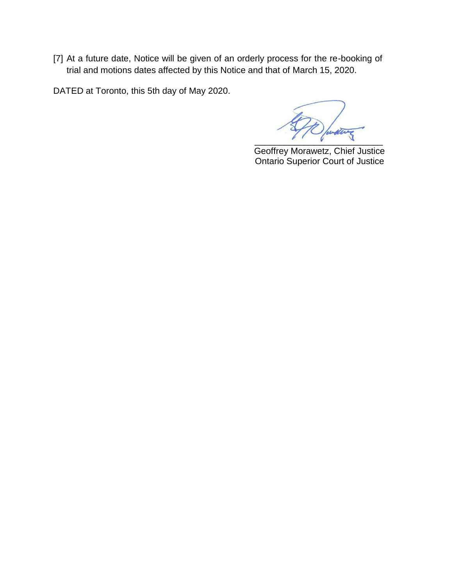[7] At a future date, Notice will be given of an orderly process for the re-booking of trial and motions dates affected by this Notice and that of March 15, 2020.

DATED at Toronto, this 5th day of May 2020.

AD with the

 Geoffrey Morawetz, Chief Justice Ontario Superior Court of Justice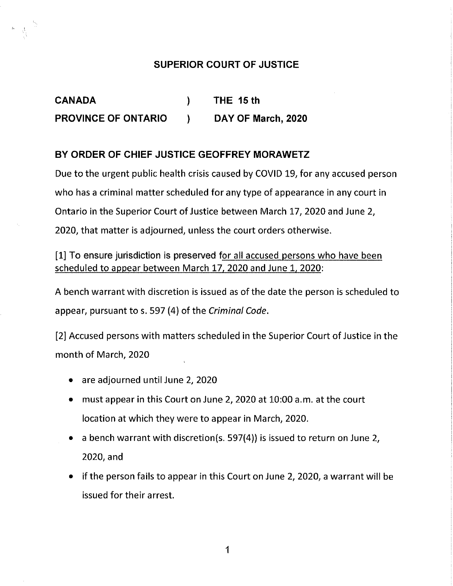## SUPERIOR COURT OF JUSTICE

CANADA ) THE 15 th PROVINCE OF ONTARIO ) DAY OF March, 2020

## BY ORDER OF CHIEF JUSTICE GEOFFREY MORAWETZ

Due to the urgent public health crisis caused by COVID 19, for any accused person who has a criminal matter scheduled for any type of appearance in any court in Ontario in the Superior Court of Justice between March 17, 2020 and June 2, 2020, that matter is adjourned, unless the court orders otherwise.

[1] To ensure jurisdiction is preserved for all accused persons who have been scheduled to appear between March 17, 2020 and June 1, 2020:

A bench warrant with discretion is issued as of the date the person is scheduled to appear, pursuant to s. 597 (4) of the Criminal Code.

[2] Accused persons with matters scheduled in the Superior Court of Justice in the month of March, 2020

- $\bullet$  are adjourned until June 2, 2020
- must appear in this Court on June 2, 2020 at 10:00 a.m. at the court location at which they were to appear in March, 2020.
- a bench warrant with discretion(s. 597(4)) is issued to return on June 2, 2020, and
- if the person fails to appear in this Court on June 2, 2020, a warrant will be issued for their arrest.